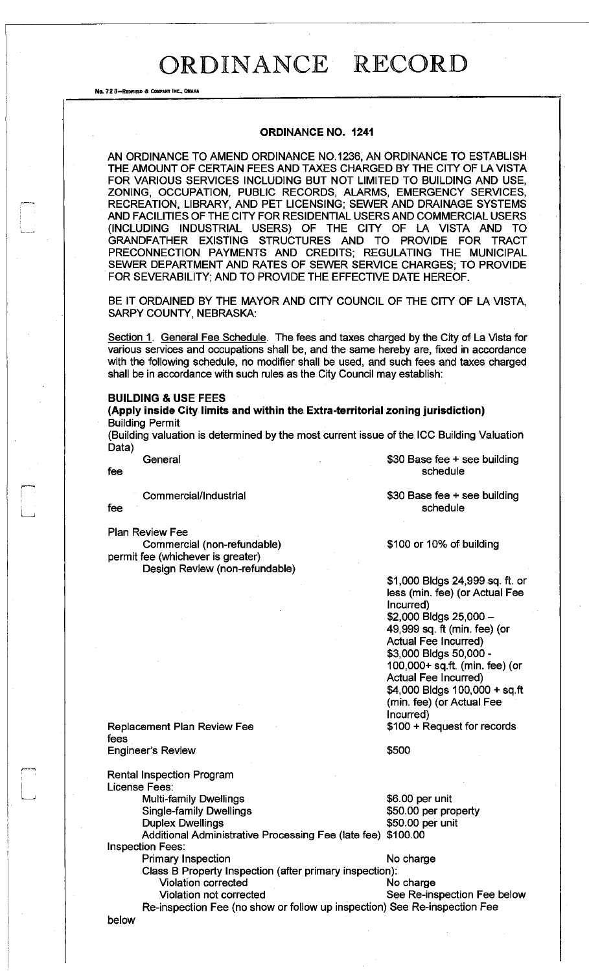No. 72 8-REDFIELD & COMPANY INC., OM

### **ORDINANCE NO. 1241**

AN ORDINANCE TO AMEND ORDINANCE NO. 1236, AN ORDINANCE TO ESTABLISH THE AMOUNT OF CERTAIN FEES AND TAXES CHARGED BY THE CITY OF LA VISTA FOR VARIOUS SERVICES INCLUDING BUT NOT LIMITED TO BUILDING AND USE, ZONING, OCCUPATION, PUBLIC RECORDS, ALARMS, EMERGENCY SERVICES, RECREATION, LIBRARY, AND PET LICENSING; SEWER AND DRAINAGE SYSTEMS AND FACILITIES OF THE CITY FOR RESIDENTIAL USERS AND COMMERCIAL USERS (INCLUDING INDUSTRIAL USERS) OF THE CITY OF LA VISTA AND TO GRANDFATHER EXISTING STRUCTURES AND TO PROVIDE FOR TRACT PRECONNECTION PAYMENTS AND CREDITS; REGULATING THE MUNICIPAL SEWER DEPARTMENT AND RATES OF SEWER SERVICE CHARGES; TO PROVIDE FOR SEVERABILITY; AND TO PROVIDE THE EFFECTIVE DATE HEREOF.

BE IT ORDAINED BY THE MAYOR AND CITY COUNCIL OF THE CITY OF LA VISTA, SARPY COUNTY, NEBRASKA:

Section 1. General Fee Schedule. The fees and taxes charged by the City of La Vista for various services and occupations shall be, and the same hereby are, fixed in accordance with the following schedule, no modifier shall be used, and such fees and taxes charged shall be in accordance with such rules as the City Council may establish:

### **BUILDING & USE FEES**

**(Apply inside City limits and within the Extra-territorial zoning jurisdiction)**  Building Permit

(Building valuation is determined by the most current issue of the ICC Building Valuation Data)

Commercial/Industrial

fee

Plan Review Fee

Commercial (non-refundable) permit fee (whichever is greater) Design Review (non-refundable)

General \$30 Base fee + see building fee schedule is a set of the schedule schedule in the schedule schedule is a schedule schedule

> \$30 Base fee + see building schedule

\$100 or 10% of building

\$1,000 Bldgs24,999sq.ft. or less (min. fee) (or Actual Fee Incurred) \$2,000 Bldgs 25,000 -49,999 sq. ft (min. fee) (or Actual Fee Incurred) \$3,000 Bldgs 50,000- 100,000+ sq.ft. (min. fee) (or Actual Fee Incurred) \$4,000 Bldgs 100,000 + sq.ft (min. fee) (or Actual Fee Incurred) \$100 + Request for records

Replacement Plan Review Fee fees

\$500

Engineer's Review Rental Inspection Program License Fees:

Multi-family Dwellings **\$6.00 per unit** Single-family Dwellings **\$50.00 per property** 

Duplex Dwellings **\$50.00 per unit** 

Additional Administrative Processing Fee (late fee) \$100.00 Inspection Fees:

Primary Inspection No charge

Class B Property Inspection (after primary inspection): Violation corrected No charge

Violation not corrected See Re-inspection Fee below Re-inspection Fee (no show or follow up inspection) See Re-inspection Fee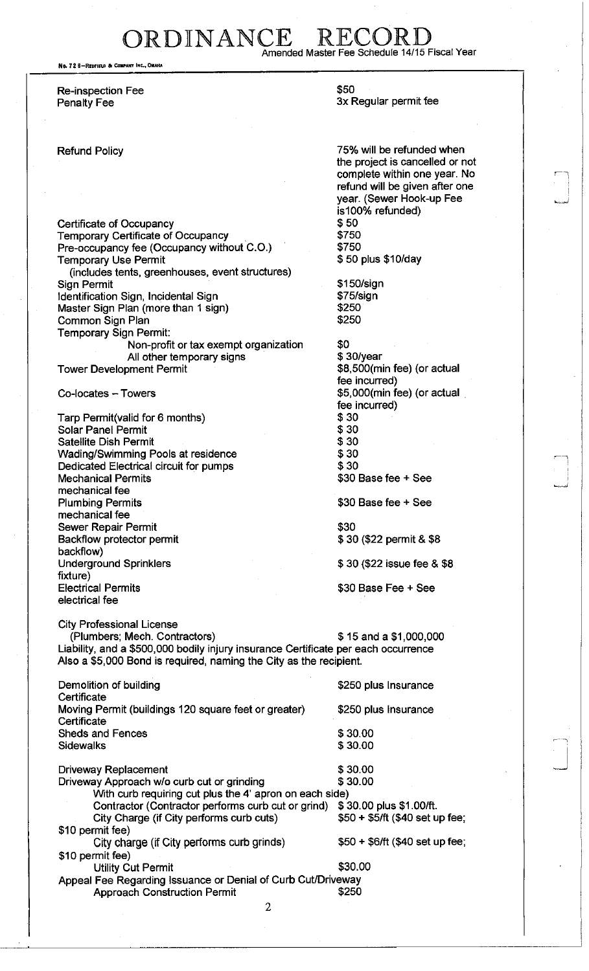ORDINANCE Amended Master Fee Schedule 14/15 Fiscal Year

No. 72 8-REDFIELD & COMPANY INC., OMAH

Re-inspection Fee Penalty Fee

Refund Policy

Certificate of Occupancy Temporary Certificate of Occupancy Pre-occupancy fee (Occupancy without C.O.) Temporary Use Permit (includes tents, greenhouses, event structures) Sign Permit Identification Sign, Incidental Sign Master Sign Plan (more than 1 sign) Common Sign Plan Temporary Sign Permit: Non-profit or tax exempt organization All other temporary signs

Tower Development Permit

Co-locates - Towers

Tarp Permit(valid for 6 months) Solar Panel Permit Satellite Dish Permit Wading/Swimming Pools at residence Dedicated Electrical circuit for pumps Mechanical Permits mechanical fee Plumbing Permits mechanical fee Sewer Repair Permit Backflow protector permit backflow) Underground Sprinklers fixture) Electrical Permits electrical fee

City Professional License

(Plumbers; Mech. Contractors)  $$ 15$  and a  $$1,000,000$ Liability, and a \$500,000 bodily injury insurance Certificate per each occurrence Also a \$5,000 Bond is required, naming the City as the recipient.

| Demolition of building<br>Certificate                               | \$250 plus Insurance            |
|---------------------------------------------------------------------|---------------------------------|
| Moving Permit (buildings 120 square feet or greater)<br>Certificate | \$250 plus Insurance            |
| Sheds and Fences                                                    | \$30.00                         |
| <b>Sidewalks</b>                                                    | \$30.00                         |
| <b>Driveway Replacement</b>                                         | \$30.00                         |
| Driveway Approach w/o curb cut or grinding                          | \$30.00                         |
| With curb requiring cut plus the 4' apron on each side)             |                                 |
| Contractor (Contractor performs curb cut or grind)                  | \$30.00 plus \$1.00/ft.         |
| City Charge (if City performs curb cuts)                            | \$50 + \$5/ft (\$40 set up fee; |
| \$10 permit fee)                                                    |                                 |
| City charge (if City performs curb grinds)                          | $$50 + $6/ft$ (\$40 set up fee; |
| \$10 permit fee)                                                    |                                 |
| <b>Utility Cut Permit</b>                                           | \$30.00                         |
| Appeal Fee Regarding Issuance or Denial of Curb Cut/Driveway        |                                 |
| <b>Approach Construction Permit</b>                                 | \$250                           |

\$50 3x Regular permit fee

75% will be refunded when the project is cancelled or not complete within one year. No refund will be given after one year. (Sewer Hook-up Fee is100% refunded) \$50 \$750 \$750 \$ 50 plus \$10/day

j.

\$150/sign \$75/sign \$250 \$250

\$0 \$ 30/year \$8,500(min fee) (or actual fee incurred) \$5,000(min fee) (or actual . fee incurred) \$30 \$30 \$30 \$30 \$30 \$30 Base fee + See

\$30 Base fee + See

\$30 \$ 30 (\$22 permit & \$8

\$ 30 (\$22 issue fee & \$8

\$30 Base Fee + See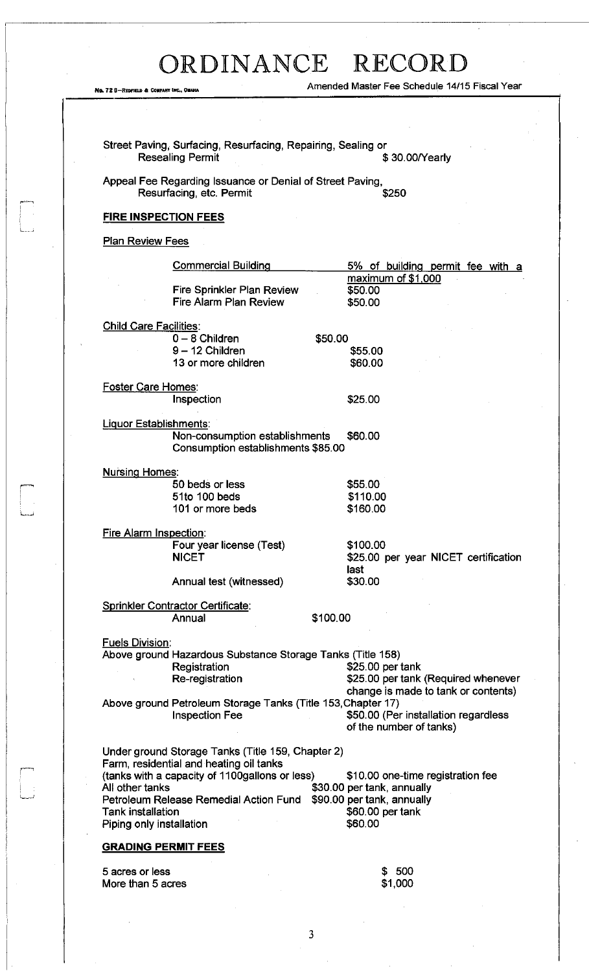.<br>ابريكا

 $\frac{1}{2}$ 

No. 72 8-REDFIELD & COMFANY INC., OMAHA
No. 72 8-REDFIELD & COMFANY INC., OMAHA
No. 72 8-REDFIELD & COMFANY INC., OMAHA

|                               | <b>Resealing Permit</b>                                                               | \$30.00/Yearly                                                  |
|-------------------------------|---------------------------------------------------------------------------------------|-----------------------------------------------------------------|
|                               | Appeal Fee Regarding Issuance or Denial of Street Paving,<br>Resurfacing, etc. Permit | \$250                                                           |
|                               | <b>FIRE INSPECTION FEES</b>                                                           |                                                                 |
| <b>Plan Review Fees</b>       |                                                                                       |                                                                 |
|                               | <b>Commercial Building</b>                                                            | 5% of building permit fee with a                                |
|                               | Fire Sprinkler Plan Review<br>Fire Alarm Plan Review                                  | maximum of \$1,000<br>\$50.00<br>\$50.00                        |
| <b>Child Care Facilities:</b> |                                                                                       |                                                                 |
|                               | $0 - 8$ Children                                                                      | \$50.00                                                         |
|                               | $9 - 12$ Children                                                                     | \$55.00                                                         |
|                               | 13 or more children                                                                   | \$60.00                                                         |
| <b>Foster Care Homes:</b>     |                                                                                       |                                                                 |
|                               | Inspection                                                                            | \$25.00                                                         |
| Liquor Establishments:        |                                                                                       |                                                                 |
|                               | Non-consumption establishments<br>Consumption establishments \$85.00                  | \$60.00                                                         |
| <b>Nursing Homes:</b>         |                                                                                       |                                                                 |
|                               | 50 beds or less                                                                       | \$55.00                                                         |
|                               | 51to 100 beds                                                                         | \$110.00                                                        |
|                               | 101 or more beds                                                                      | \$160.00                                                        |
| Fire Alarm Inspection:        |                                                                                       |                                                                 |
|                               | Four year license (Test)                                                              | \$100.00                                                        |
|                               | <b>NICET</b>                                                                          | \$25.00 per year NICET certification                            |
|                               | Annual test (witnessed)                                                               | last<br>\$30.00                                                 |
|                               | <b>Sprinkler Contractor Certificate:</b>                                              |                                                                 |
|                               | Annual                                                                                | \$100.00                                                        |
|                               |                                                                                       |                                                                 |
| <b>Fuels Division:</b>        | Above ground Hazardous Substance Storage Tanks (Title 158)                            |                                                                 |
|                               | Registration                                                                          | \$25.00 per tank                                                |
|                               | Re-registration                                                                       | \$25.00 per tank (Required whenever                             |
|                               |                                                                                       | change is made to tank or contents)                             |
|                               | Above ground Petroleum Storage Tanks (Title 153, Chapter 17)                          |                                                                 |
|                               | <b>Inspection Fee</b>                                                                 | \$50.00 (Per installation regardless<br>of the number of tanks) |
|                               | Under ground Storage Tanks (Title 159, Chapter 2)                                     |                                                                 |
|                               | Farm, residential and heating oil tanks                                               |                                                                 |
| All other tanks               | (tanks with a capacity of 1100gallons or less)                                        | \$10.00 one-time registration fee<br>\$30.00 per tank, annually |
|                               | Petroleum Release Remedial Action Fund                                                | \$90.00 per tank, annually                                      |
| <b>Tank installation</b>      |                                                                                       | \$60.00 per tank                                                |
| Piping only installation      |                                                                                       | \$60.00                                                         |
|                               | <b>GRADING PERMIT FEES</b>                                                            |                                                                 |
| 5 acres or less               |                                                                                       | \$500                                                           |
| More than 5 acres             |                                                                                       | \$1,000                                                         |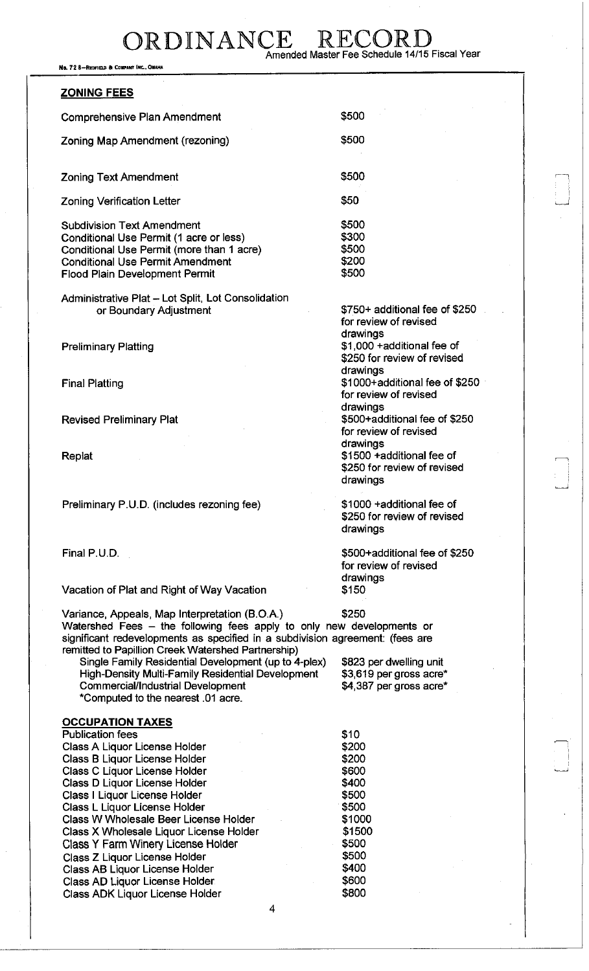No. 72 8-REDFIELD & COMPANY INC., OMAHA

### **ZONING FEES**  Comprehensive Plan Amendment Zoning Map Amendment (rezoning) \$500 \$500 Zoning Text Amendment Zoning Verification Letter Subdivision Text Amendment Conditional Use Permit (1 acre or less) Conditional Use Permit (more than 1 acre) Conditional Use Permit Amendment Flood Plain Development Permit Administrative Plat - Lot Split, Lot Consolidation or Boundary Adjustment Preliminary Platting Final Platting Revised Preliminary Plat Replat Preliminary P.U.D. (includes rezoning fee) Final P.U.D. Vacation of Plat and Right of Way Vacation \$500 \$50 \$500 \$300 \$500 \$200 \$500 \$750+ additional fee of \$250 for review of revised drawings \$1,000 +additional fee of \$250 for review of revised drawings \$1000+additional fee of \$250 for review of revised drawings \$500+additiona! fee of \$250 for review of revised drawings \$1500 +additional fee of \$250 for review of revised drawings \$1000 +additional fee of \$250 for review of revised drawings \$500+additional fee of \$250 for review of revised drawings \$150 Variance, Appeals, Map Interpretation (B.O.A.) \$250 Watershed Fees - the following fees apply to only new developments or significant redevelopments as specified in a subdivision agreement: (fees are remitted to Papillion Creek Watershed Partnership) Single Family Residential Development (up to 4-plex) High-Density Multi-Family Residential Development Commercial/Industrial Development ""Computed to the nearest .01 acre. \$823 per dwelling unit \$3,619 per gross acre\* \$4,387 per gross acre\* **OCCUPATION TAXES**  Publication fees \$10 Class A Liquor License Holder **\$200** Class B Liquor License Holder **\$200** Class C Liquor License Holder **\$600** Class D Liquor License Holder **\$400** Class I Liquor License Holder **\$500** Class L Liquor License Holder **\$500** Class W Wholesale Beer License Holder **\$1000** Class X Wholesale Liquor License Holder \$1500 Class Y Farm Winery License Holder \$500 Class Z Liquor License Holder \$500 Class AB Liquor License Holder Class AD Liquor License Holder **\$600** Class ADK Liquor License Holder **\$800**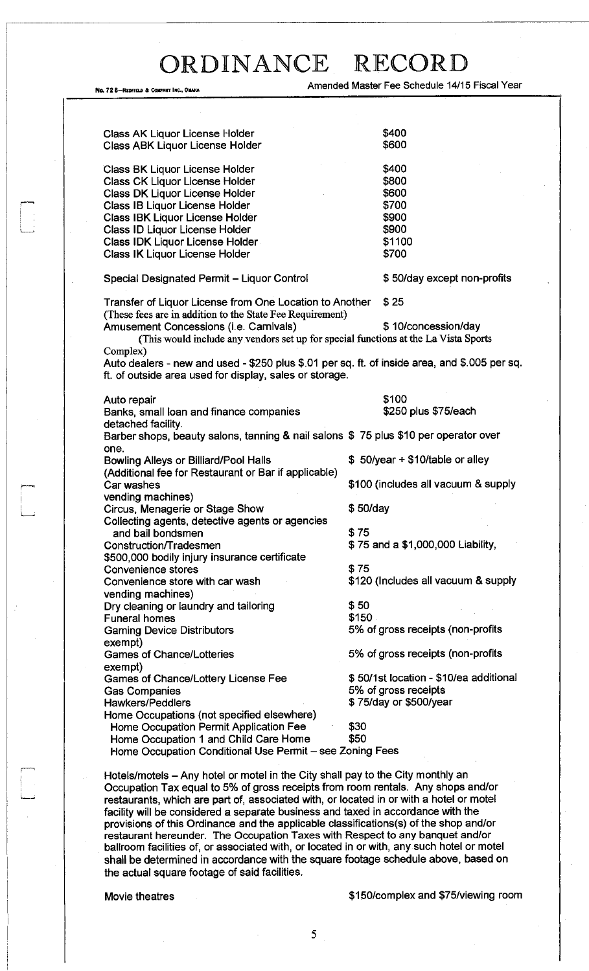Amended Master Fee Schedule 14/15 Fiscal Year

| Class AK Liquor License Holder<br><b>Class ABK Liquor License Holder</b>                      | \$400<br>\$600                         |
|-----------------------------------------------------------------------------------------------|----------------------------------------|
|                                                                                               |                                        |
| <b>Class BK Liquor License Holder</b>                                                         | \$400                                  |
| Class CK Liquor License Holder                                                                | \$800                                  |
| <b>Class DK Liquor License Holder</b>                                                         | \$600                                  |
| Class IB Liquor License Holder                                                                | \$700                                  |
| <b>Class IBK Liquor License Holder</b>                                                        | \$900                                  |
| Class ID Liquor License Holder                                                                | \$900                                  |
| <b>Class IDK Liquor License Holder</b>                                                        | \$1100                                 |
| Class IK Liquor License Holder                                                                | \$700                                  |
|                                                                                               |                                        |
| Special Designated Permit - Liquor Control                                                    | \$50/day except non-profits            |
| Transfer of Liquor License from One Location to Another                                       | \$25                                   |
| (These fees are in addition to the State Fee Requirement)                                     |                                        |
| Amusement Concessions (i.e. Carnivals)                                                        | \$10/concession/day                    |
| (This would include any vendors set up for special functions at the La Vista Sports           |                                        |
| Complex)                                                                                      |                                        |
| Auto dealers - new and used - \$250 plus \$.01 per sq. ft. of inside area, and \$.005 per sq. |                                        |
| ft. of outside area used for display, sales or storage.                                       |                                        |
|                                                                                               |                                        |
| Auto repair                                                                                   | \$100                                  |
| Banks, small loan and finance companies                                                       | \$250 plus \$75/each                   |
| detached facility.                                                                            |                                        |
| Barber shops, beauty salons, tanning & nail salons \$75 plus \$10 per operator over           |                                        |
| one.                                                                                          |                                        |
| <b>Bowling Alleys or Billiard/Pool Halls</b>                                                  | $$50/year + $10/table$ or alley        |
| (Additional fee for Restaurant or Bar if applicable)                                          |                                        |
| Car washes                                                                                    | \$100 (includes all vacuum & supply    |
|                                                                                               |                                        |
| vending machines)                                                                             | \$50/day                               |
| Circus, Menagerie or Stage Show                                                               |                                        |
| Collecting agents, detective agents or agencies                                               |                                        |
| and bail bondsmen                                                                             | \$75                                   |
| Construction/Tradesmen                                                                        | \$75 and a \$1,000,000 Liability,      |
| \$500,000 bodily injury insurance certificate                                                 |                                        |
| <b>Convenience stores</b>                                                                     | \$75                                   |
| Convenience store with car wash                                                               | \$120 (Includes all vacuum & supply    |
| vending machines)                                                                             |                                        |
| Dry cleaning or laundry and tailoring                                                         | \$50                                   |
| <b>Funeral homes</b>                                                                          | \$150                                  |
| <b>Gaming Device Distributors</b>                                                             | 5% of gross receipts (non-profits      |
| exempt)                                                                                       |                                        |
| <b>Games of Chance/Lotteries</b>                                                              | 5% of gross receipts (non-profits      |
| exempt)                                                                                       |                                        |
| <b>Games of Chance/Lottery License Fee</b>                                                    | \$50/1st location - \$10/ea additional |
| <b>Gas Companies</b>                                                                          | 5% of gross receipts                   |
| <b>Hawkers/Peddlers</b>                                                                       | \$75/day or \$500/year                 |
| Home Occupations (not specified elsewhere)                                                    |                                        |
| Home Occupation Permit Application Fee                                                        | \$30                                   |
|                                                                                               | \$50                                   |
| Home Occupation 1 and Child Care Home                                                         |                                        |
| Home Occupation Conditional Use Permit - see Zoning Fees                                      |                                        |

Hotels/motels - Any hotel or motel in the City shall pay to the City monthly an Occupation Tax equal to 5% of gross receipts from room rentals. Any shops and/or restaurants, which are part of, associated with, or located in or with a hotel or motel facility will be considered a separate business and taxed in accordance with the provisions of this Ordinance and the applicable classifications(s) of the shop and/or restaurant hereunder. The Occupation Taxes with Respect to any banquet and/or ballroom facilities of, or associated with, or located in or with, any such hotel or motel shall be determined in accordance with the square footage schedule above, based on the actual square footage of said facilities.

No. 72 8-REDFIELD & COMPANY INC., OI

Movie theatres **\$150/complex and \$75/viewing room**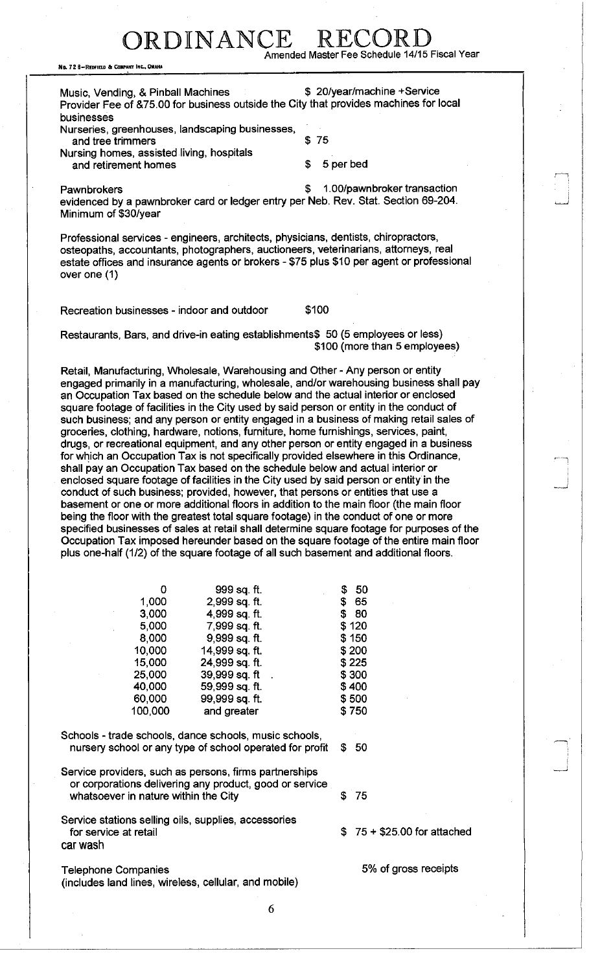### RDINANCE Amended Master Fee Schedule 14/15 Fiscal Year

No. 72 8-REOFIELD & COMPANY INC., OMAHA

Music, Vending, & Pinball Machines **\$ 20/year/machine +Service** Provider Fee of &75.00 for business outside the City that provides machines for local

businesses Nurseries, greenhouses, landscaping businesses, and tree trimmers \$75 Nursing homes, assisted living, hospitals

and retirement homes  $\sim$  5 per bed

Pawnbrokers **but a 1.00/pawnbroker transaction \$ 1.00/pawnbroker transaction** evidenced by a pawnbroker card or ledger entry per Neb. Rev. Stat. Section 69-204. Minimum of \$30/year

Professional services - engineers, architects, physicians, dentists, chiropractors, osteopaths, accountants, photographers, auctioneers, veterinarians, attorneys, real estate offices and insurance agents or brokers - \$75 plus \$10 per agent or professional over one (1)

Recreation businesses - indoor and outdoor \$100

Restaurants, Bars, and drive-in eating establishments\$ 50 (5 employees or less) \$100 (more than 5 employees)

Retail, Manufacturing, Wholesale, Warehousing and Other - Any person or entity engaged primarily in a manufacturing, wholesale, and/or warehousing business shall pay an Occupation Tax based on the schedule below and the actual interior or enclosed square footage of facilities in the City used by said person or entity in the conduct of such business; and any person or entity engaged in a business of making retail sales of groceries, clothing, hardware, notions, furniture, home furnishings, services, paint, drugs, or recreational equipment, and any other person or entity engaged in a business for which an Occupation Tax is not specifically provided elsewhere in this Ordinance, shall pay an Occupation Tax based on the schedule below and actual interior or enclosed square footage of facilities in the City used by said person or entity in the conduct of such business; provided, however, that persons or entities that use a basement or one or more additional floors in addition to the main floor (the main floor being the floor with the greatest total square footage) in the conduct of one or more specified businesses of sales at retail shall determine square footage for purposes of the Occupation Tax imposed hereunder based on the square footage of the entire main floor plus one-half (1/2) of the square footage of all such basement and additional floors.

| 0       | 999 sq. ft.    | 50<br>S |
|---------|----------------|---------|
| 1,000   | 2,999 sq. ft.  | \$ 65   |
| 3,000   | 4,999 sq. ft.  | 80<br>S |
| 5,000   | 7,999 sq. ft.  | \$120   |
| 8,000   | 9,999 sq. ft.  | \$150   |
| 10,000  | 14,999 sq. ft. | \$200   |
| 15,000  | 24,999 sq. ft. | \$225   |
| 25,000  | 39,999 sq. ft  | \$300   |
| 40,000  | 59,999 sq. ft. | \$400   |
| 60,000  | 99,999 sq. ft. | \$500   |
| 100,000 | and greater    | \$750   |

Schools - trade schools, dance schools, music schools, nursery school or any type of school operated for profit  $$50$ 

Service providers, such as persons, firms partnerships or corporations delivering any product, good or service whatsoever in nature within the City  $$75$ 

Service stations selling oils, supplies, accessories for service at retail  $$ 75 + $25.00$  for attached car wash

Telephone Companies **600 and 7** and 7 and 7 and 7 and 7 and 7 and 7 and 7 and 7 and 7 and 7 and 7 and 7 and 7 and 7 and 7 and 7 and 7 and 7 and 7 and 7 and 7 and 7 and 7 and 7 and 7 and 7 and 7 and 7 and 7 and 7 and 7 and (includes land lines, wireless, cellular, and mobile)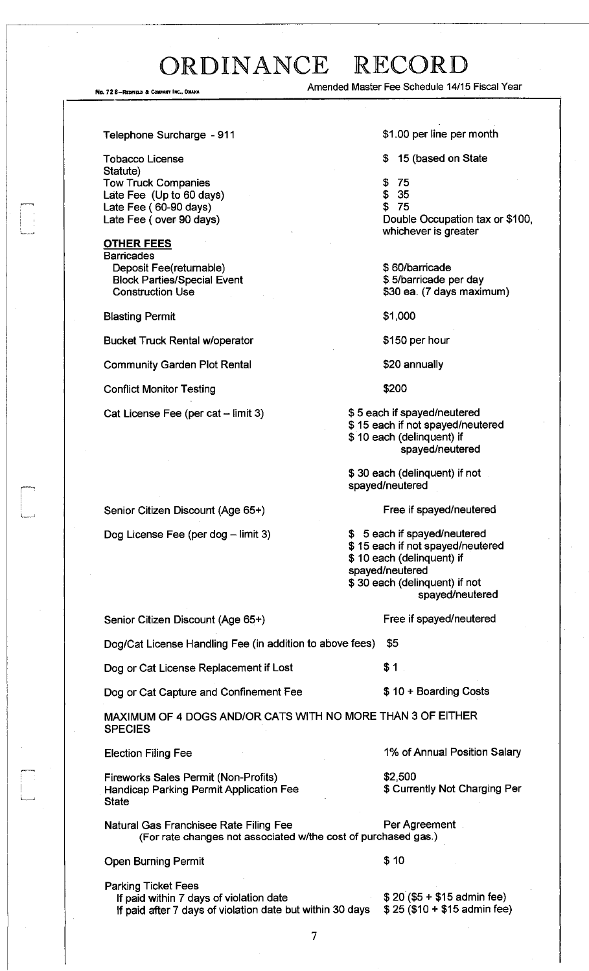No. 728-REDFIELD & COMPANY INC., OMAH/

Amended Master Fee Schedule 14/15 Fiscal Year

#### Telephone Surcharge -911

Tobacco License Statute) Tow Truck Companies Late Fee (Up to 60 days) Late Fee (60-90 days) Late Fee (over 90 days)

### **OTHER FEES**  Barricades

Deposit Fee(returnable) Block Parties/Special Event Construction Use

Blasting Permit

Bucket Truck Rental w/operator

Community Garden Plot Rental

Conflict Monitor Testing

Cat License Fee (per cat  $-$  limit 3)

Senior Citizen Discount (Age 65+)

Dog License Fee (per dog  $-$  limit 3)

\$1.00 per line per month

\$ 15 (based on State

- \$ 75
- \$ 35

\$ 75 Double Occupation tax or \$100, whichever is greater

\$ 60/barricade \$ 5/barricade per day \$30 ea. (7 days maximum)

\$1,000

\$150 per hour

\$20 annually

\$200

\$ 5 each if spayed/neutered \$ 15 each if not spayed/neutered \$10 each (delinquent) if spayed/neutered

\$ 30 each (delinquent) if not spayed/neutered

### Free if spayed/neutered

Free if spayed/neutered

\$ 5 each if spayed/neutered \$ 15 each if not spayed/neutered \$ 10 each (delinquent) if spayed/neutered \$ 30 each (delinquent) if not spayed/neutered

Senior Citizen Discount (Age 65+)

Dog/Cat License Handling Fee (in addition to above fees) \$5

Dog or Cat License Replacement if Lost \$1

Dog or Cat Capture and Confinement Fee  $$ 10 + Boarding Costs$ 

MAXIMUM OF 4 DOGS AND/OR CATS WITH NO MORE THAN 3 OF EITHER SPECIES

Election Filing Fee

Fireworks Sales Permit (Non-Profits) Handicap Parking Permit Application Fee **State** 

\$ Currently Not Charging Per

\$2,500

Natural Gas Franchisee Rate Filing Fee Per Per Agreement (For rate changes not associated w/the cost of purchased gas.)

Open Burning Permit \$10

Parking Ticket Fees

If paid within 7 days of violation date  $$ 20 ($5 + $15$)$  admin fee) If paid after 7 days of violation date but within 30 days  $$25 ($10 + $15$)$  admin fee)

1% of Annual Position Salary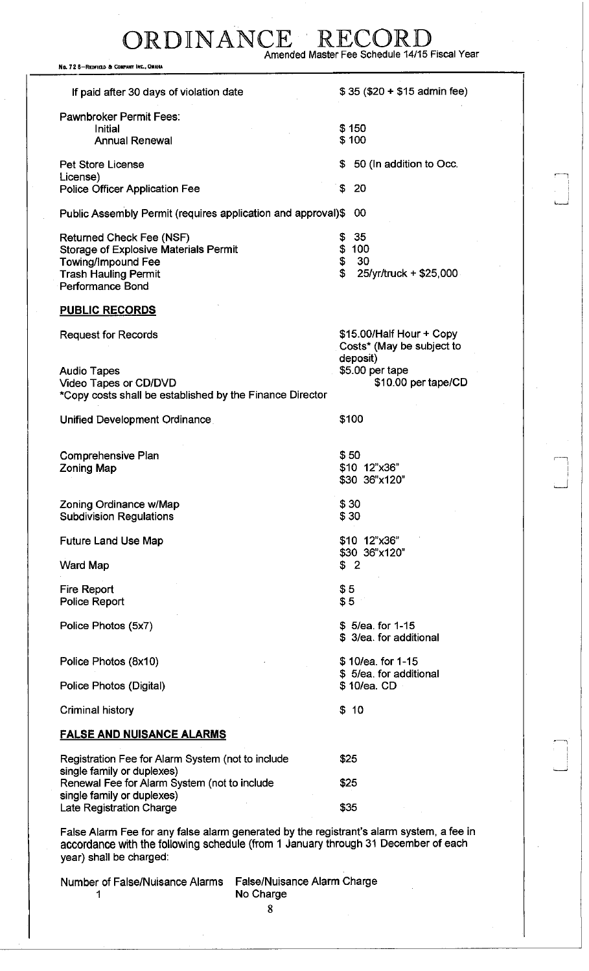# ORDINANCE RECORD<br>Amended Master Fee Schedule 14/15 Fiscal Year

No. 72 8-REDFIELD & COMPANY INC., OMAHA

| If paid after 30 days of violation date<br><b>Pawnbroker Permit Fees:</b><br>Initial<br><b>Annual Renewal</b><br><b>Pet Store License</b><br>S.<br>License)<br>S.<br>Police Officer Application Fee | $$35 ($20 + $15$)$ admin fee)<br>\$150<br>\$100 |
|-----------------------------------------------------------------------------------------------------------------------------------------------------------------------------------------------------|-------------------------------------------------|
|                                                                                                                                                                                                     |                                                 |
|                                                                                                                                                                                                     |                                                 |
|                                                                                                                                                                                                     |                                                 |
|                                                                                                                                                                                                     |                                                 |
|                                                                                                                                                                                                     |                                                 |
|                                                                                                                                                                                                     | 50 (In addition to Occ.                         |
|                                                                                                                                                                                                     |                                                 |
|                                                                                                                                                                                                     | -20                                             |
|                                                                                                                                                                                                     |                                                 |
| Public Assembly Permit (requires application and approval)\$                                                                                                                                        | -00                                             |
| Returned Check Fee (NSF)<br>S.                                                                                                                                                                      | 35                                              |
| <b>Storage of Explosive Materials Permit</b>                                                                                                                                                        | \$100                                           |
| \$                                                                                                                                                                                                  | 30                                              |
| Towing/Impound Fee<br>\$                                                                                                                                                                            |                                                 |
| <b>Trash Hauling Permit</b>                                                                                                                                                                         | 25/yr/truck + \$25,000                          |
| <b>Performance Bond</b>                                                                                                                                                                             |                                                 |
| <b>PUBLIC RECORDS</b>                                                                                                                                                                               |                                                 |
|                                                                                                                                                                                                     |                                                 |
| <b>Request for Records</b>                                                                                                                                                                          | \$15.00/Half Hour + Copy                        |
|                                                                                                                                                                                                     | Costs* (May be subject to                       |
|                                                                                                                                                                                                     | deposit)                                        |
| <b>Audio Tapes</b>                                                                                                                                                                                  | \$5.00 per tape                                 |
| <b>Video Tapes or CD/DVD</b>                                                                                                                                                                        | \$10.00 per tape/CD                             |
| *Copy costs shall be established by the Finance Director                                                                                                                                            |                                                 |
|                                                                                                                                                                                                     |                                                 |
| Unified Development Ordinance                                                                                                                                                                       | \$100                                           |
|                                                                                                                                                                                                     |                                                 |
|                                                                                                                                                                                                     |                                                 |
| Comprehensive Plan                                                                                                                                                                                  | \$50                                            |
| <b>Zoning Map</b>                                                                                                                                                                                   | \$10 12"x36"                                    |
|                                                                                                                                                                                                     | \$30 36"x120"                                   |
|                                                                                                                                                                                                     |                                                 |
| Zoning Ordinance w/Map                                                                                                                                                                              | \$30                                            |
|                                                                                                                                                                                                     |                                                 |
| <b>Subdivision Regulations</b>                                                                                                                                                                      | \$30                                            |
|                                                                                                                                                                                                     |                                                 |
| <b>Future Land Use Map</b>                                                                                                                                                                          | \$10 12"x36"                                    |
|                                                                                                                                                                                                     | \$30 36"x120"                                   |
| <b>Ward Map</b>                                                                                                                                                                                     | \$2                                             |
|                                                                                                                                                                                                     |                                                 |
| <b>Fire Report</b>                                                                                                                                                                                  | \$5                                             |
| Police Report                                                                                                                                                                                       | \$5                                             |
|                                                                                                                                                                                                     |                                                 |
| Police Photos (5x7)                                                                                                                                                                                 | \$5/ea. for 1-15                                |
|                                                                                                                                                                                                     | \$ 3/ea. for additional                         |
|                                                                                                                                                                                                     |                                                 |
| Police Photos (8x10)                                                                                                                                                                                | \$10/ea. for 1-15                               |
|                                                                                                                                                                                                     | \$5/ea. for additional                          |
| Police Photos (Digital)                                                                                                                                                                             | \$10/ea. CD                                     |
|                                                                                                                                                                                                     |                                                 |
| <b>Criminal history</b><br>\$                                                                                                                                                                       | 10                                              |
|                                                                                                                                                                                                     |                                                 |
| <b>FALSE AND NUISANCE ALARMS</b>                                                                                                                                                                    |                                                 |
|                                                                                                                                                                                                     |                                                 |
|                                                                                                                                                                                                     |                                                 |
|                                                                                                                                                                                                     | \$25                                            |
| Registration Fee for Alarm System (not to include                                                                                                                                                   |                                                 |
| single family or duplexes)                                                                                                                                                                          |                                                 |
| Renewal Fee for Alarm System (not to include                                                                                                                                                        | \$25                                            |
| single family or duplexes)                                                                                                                                                                          |                                                 |
| Late Registration Charge                                                                                                                                                                            | \$35                                            |

accordance with the following schedule (from 1 January through 31 December of each year) shall be charged:

Number of False/Nuisance Alarms False/Nuisance Alarm Charge 1

No Charge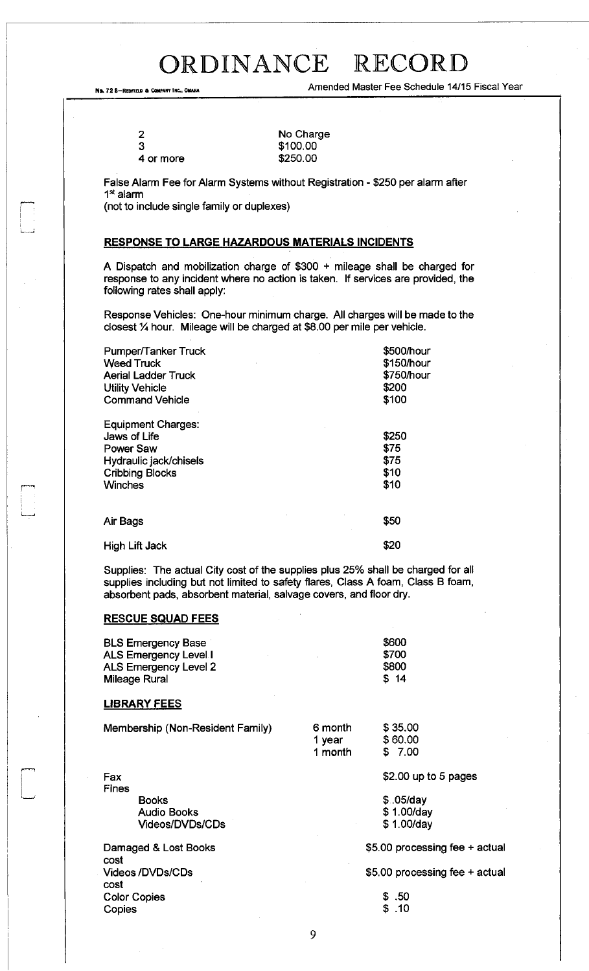No. 72 8-REDFIELD & COMPANY INC., OMAHA COMPANY AND THE SCHEDULE 14/15 Fiscal Year

| 3 |  |
|---|--|
| 2 |  |

No Charge \$100.00 \$250.00

False Alarm Fee for Alarm Systems without Registration - \$250 per alarm after 1 st alarm

(not to include single family or duplexes)

### **RESPONSE TO LARGE HAZARDOUS MATERIALS INCIDENTS**

A Dispatch and mobilization charge of \$300 + mileage shall be charged for response to any incident where no action is taken. If services are provided, the following rates shall apply:

Response Vehicles: One-hour minimum charge. All charges will be made to the closest  $\frac{1}{4}$  hour. Mileage will be charged at \$8.00 per mile per vehicle.

| Pumper/Tanker Truck        | \$500/hour |
|----------------------------|------------|
| <b>Weed Truck</b>          | \$150/hour |
| <b>Aerial Ladder Truck</b> | \$750/hour |
| <b>Utility Vehicle</b>     | \$200      |
| <b>Command Vehicle</b>     | \$100      |
| Equipment Charges:         |            |
| Jaws of Life               | \$250      |
| Power Saw                  | \$75       |
| Hydraulic jack/chisels     | \$75       |
| <b>Cribbing Blocks</b>     | \$10       |
| <b>Winches</b>             | \$10       |
| Air Bags                   | \$50       |
| <b>High Lift Jack</b>      | \$20       |

Supplies: The actual City cost of the supplies plus 25% shall be charged for all supplies including but not limited to safety flares, Class A foam, Class B foam, absorbent pads, absorbent material, salvage covers, and floor dry.

### **RESCUE SQUAD FEES**

| <b>BLS Emergency Base</b> |  | \$600 |
|---------------------------|--|-------|
| ALS Emergency Level I     |  | \$700 |
| ALS Emergency Level 2     |  | \$800 |
| <b>Mileage Rural</b>      |  | \$14  |

### **LIBRARY FEES**

| Membership (Non-Resident Family) | 6 month | \$35.00 |
|----------------------------------|---------|---------|
|                                  | 1 vear  | \$60.00 |
|                                  | 1 month | \$ 7.00 |

Fax Fines Books Audio Books Videos/DVDs/CDs

Damaged & Lost Books cost Videos/DVDs/CDs cost Color Copies Copies

\$ ,05/day \$ 1.00/day \$ 1.00/day

\$5.00 processing fee + actual

\$2.00 up to 5 pages

\$5.00 processing fee + actual

\$ .50 \$ .10

9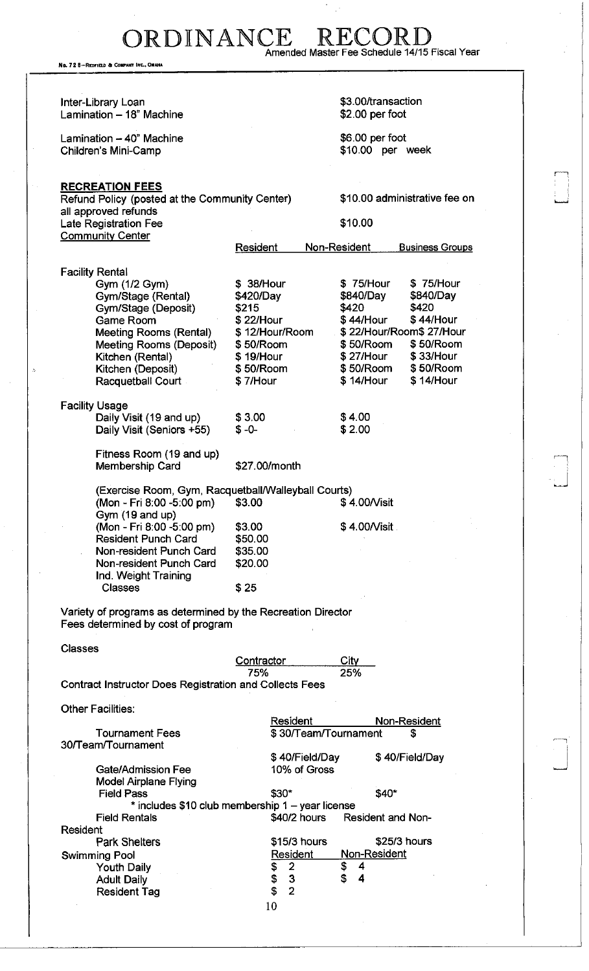ORDINANCE RECORD<br>Amended Master Fee Schedule 14/15 Fiscal Year

No. 728-REDFIELD & COMPANY INC., OMAHA

| Inter-Library Loan<br>Lamination - 18" Machine                           |                                                  | \$3.00/transaction<br>\$2.00 per foot  |
|--------------------------------------------------------------------------|--------------------------------------------------|----------------------------------------|
| Lamination - 40" Machine<br>Children's Mini-Camp                         |                                                  | \$6.00 per foot<br>\$10.00 per week    |
|                                                                          |                                                  |                                        |
|                                                                          |                                                  |                                        |
| <b>RECREATION FEES</b><br>Refund Policy (posted at the Community Center) |                                                  | \$10.00 administrative fee on          |
| all approved refunds                                                     |                                                  |                                        |
| Late Registration Fee<br><b>Community Center</b>                         |                                                  | \$10.00                                |
|                                                                          | Resident                                         | Non-Resident<br><b>Business Groups</b> |
|                                                                          |                                                  |                                        |
| <b>Facility Rental</b>                                                   |                                                  |                                        |
| Gym (1/2 Gym)                                                            | \$ 38/Hour                                       | \$75/Hour<br>\$75/Hour                 |
| Gym/Stage (Rental)                                                       | \$420/Day                                        | \$840/Day<br>\$840/Day                 |
| Gym/Stage (Deposit)                                                      | \$215                                            | \$420<br>\$420                         |
| <b>Game Room</b>                                                         | \$22/Hour                                        | \$ 44/Hour<br>\$44/Hour                |
| Meeting Rooms (Rental)                                                   | \$12/Hour/Room                                   | \$22/Hour/Room\$27/Hour                |
| Meeting Rooms (Deposit)                                                  | \$50/Room                                        | \$50/Room<br>\$50/Room                 |
| Kitchen (Rental)                                                         | \$19/Hour                                        | \$ 27/Hour<br>\$33/Hour                |
| Kitchen (Deposit)                                                        | \$50/Room                                        | \$50/Room<br>\$50/Room                 |
| Racquetball Court                                                        | \$7/Hour                                         | \$14/Hour<br>\$14/Hour                 |
|                                                                          |                                                  |                                        |
| <b>Facility Usage</b>                                                    |                                                  |                                        |
| Daily Visit (19 and up)                                                  | \$3.00                                           | \$4.00                                 |
| Daily Visit (Seniors +55)                                                | $$ -0-$                                          | \$2.00                                 |
|                                                                          |                                                  |                                        |
| Fitness Room (19 and up)                                                 |                                                  |                                        |
| Membership Card                                                          | \$27.00/month                                    |                                        |
|                                                                          |                                                  |                                        |
| (Exercise Room, Gym, Racquetball/Walleyball Courts)                      |                                                  |                                        |
| (Mon - Fri 8:00 -5:00 pm)                                                | \$3.00                                           | \$4.00/Visit                           |
| Gym (19 and up)                                                          |                                                  |                                        |
| (Mon - Fri 8:00 -5:00 pm)                                                | \$3.00                                           | \$4.00/Visit                           |
| <b>Resident Punch Card</b>                                               | \$50.00                                          |                                        |
| Non-resident Punch Card                                                  | \$35.00                                          |                                        |
| Non-resident Punch Card                                                  | \$20.00                                          |                                        |
| Ind. Weight Training                                                     |                                                  |                                        |
| <b>Classes</b>                                                           | \$25                                             |                                        |
|                                                                          |                                                  |                                        |
| Variety of programs as determined by the Recreation Director             |                                                  |                                        |
| Fees determined by cost of program                                       |                                                  |                                        |
|                                                                          |                                                  |                                        |
| <b>Classes</b>                                                           |                                                  |                                        |
|                                                                          | Contractor                                       | City                                   |
|                                                                          | 75%                                              | 25%                                    |
| <b>Contract Instructor Does Registration and Collects Fees</b>           |                                                  |                                        |
| Other Facilities:                                                        |                                                  |                                        |
|                                                                          | Resident                                         | Non-Resident                           |
| <b>Tournament Fees</b>                                                   | \$30/Team/Tournament                             | S                                      |
| 30/Team/Tournament                                                       |                                                  |                                        |
|                                                                          | \$40/Field/Day                                   | \$40/Field/Day                         |
| Gate/Admission Fee                                                       | 10% of Gross                                     |                                        |
| <b>Model Airplane Flying</b>                                             |                                                  |                                        |
| <b>Field Pass</b>                                                        | \$30"                                            | \$40*                                  |
|                                                                          | * includes \$10 club membership 1 - year license |                                        |
| <b>Field Rentals</b>                                                     | \$40/2 hours                                     | <b>Resident and Non-</b>               |
| Resident                                                                 |                                                  |                                        |
| <b>Park Shelters</b>                                                     | \$15/3 hours                                     | \$25/3 hours                           |
| <b>Swimming Pool</b>                                                     | <b>Resident</b>                                  | <u>Non-Resident</u>                    |
| <b>Youth Daily</b>                                                       | $\overline{2}$<br>\$                             | \$<br>4                                |
| <b>Adult Daily</b>                                                       | \$<br>$\mathbf{3}$                               | \$<br>$\overline{\mathbf{4}}$          |
| <b>Resident Tag</b>                                                      | \$<br>$\overline{2}$                             |                                        |
|                                                                          | 10                                               |                                        |
|                                                                          |                                                  |                                        |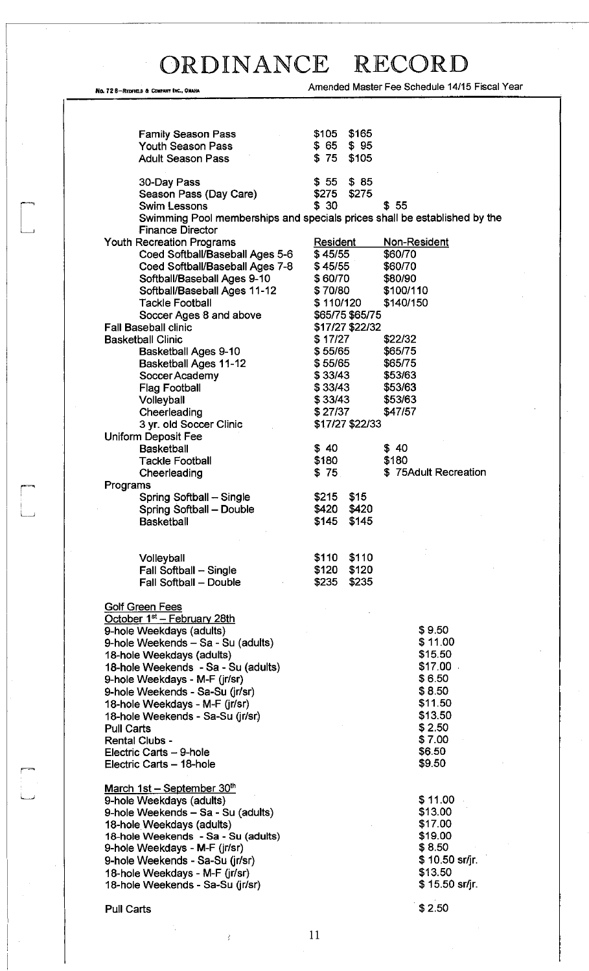No. 72 8-REDFIELD & COMPANT INC., OMAHA AMERICAL STRAINING COMPANY AMERICAL PROPERTY AND AMERICAL PROPERTY AND AMERICAL PROPERTY AND AMERICAL PROPERTY AND AMERICAL PROPERTY AND AMERICAL PROPERTY AND AMERICAL PROPERTY AND A

| <b>Family Season Pass</b>                                                 | \$165<br>\$105                     |                      |
|---------------------------------------------------------------------------|------------------------------------|----------------------|
| <b>Youth Season Pass</b>                                                  | $$65$ $$95$                        |                      |
| <b>Adult Season Pass</b>                                                  | $$75$ $$105$                       |                      |
|                                                                           |                                    |                      |
| 30-Day Pass                                                               | $$55$ $$85$<br>\$275<br>\$275      |                      |
| Season Pass (Day Care)<br><b>Swim Lessons</b>                             | \$30                               | \$55                 |
| Swimming Pool memberships and specials prices shall be established by the |                                    |                      |
| <b>Finance Director</b>                                                   |                                    |                      |
| <b>Youth Recreation Programs</b>                                          | <b>Resident</b>                    | Non-Resident         |
| Coed Softball/Baseball Ages 5-6                                           | \$45/55                            | \$60/70              |
| Coed Softball/Baseball Ages 7-8                                           | \$45/55                            | \$60/70              |
| Softball/Baseball Ages 9-10                                               | \$60/70                            | \$80/90              |
| Softball/Baseball Ages 11-12                                              | \$70/80                            | \$100/110            |
| <b>Tackle Football</b>                                                    | \$110/120                          | \$140/150            |
| Soccer Ages 8 and above<br><b>Fall Baseball clinic</b>                    | \$65/75 \$65/75<br>\$17/27 \$22/32 |                      |
| <b>Basketball Clinic</b>                                                  | \$17/27                            | \$22/32              |
| <b>Basketball Ages 9-10</b>                                               | \$55/65                            | \$65/75              |
| <b>Basketball Ages 11-12</b>                                              | \$55/65                            | \$65/75              |
| Soccer Academy                                                            | \$33/43                            | \$53/63              |
| <b>Flag Football</b>                                                      | \$33/43                            | \$53/63              |
| Volleyball                                                                | \$33/43                            | \$53/63              |
| Cheerleading                                                              | \$27/37                            | \$47/57              |
| 3 yr. old Soccer Clinic                                                   | \$17/27 \$22/33                    |                      |
| <b>Uniform Deposit Fee</b>                                                |                                    |                      |
| <b>Basketball</b>                                                         | \$40<br>\$180                      | \$40<br>\$180        |
| <b>Tackle Football</b><br>Cheerleading                                    | \$75                               | \$75Adult Recreation |
| Programs                                                                  |                                    |                      |
| Spring Softball - Single                                                  | \$215<br>\$15                      |                      |
| Spring Softball - Double                                                  | \$420<br>\$420                     |                      |
| <b>Basketball</b>                                                         | \$145<br>\$145                     |                      |
|                                                                           |                                    |                      |
|                                                                           |                                    |                      |
| Volleyball                                                                | \$110<br>\$110                     |                      |
| Fall Softball - Single                                                    | \$120<br>\$120<br>\$235<br>\$235   |                      |
| Fall Softball - Double                                                    |                                    |                      |
| <b>Golf Green Fees</b>                                                    |                                    |                      |
| October 1 <sup>st</sup> - February 28th                                   |                                    |                      |
| 9-hole Weekdays (adults)                                                  |                                    | \$9.50               |
| 9-hole Weekends - Sa - Su (adults)                                        |                                    | \$11.00              |
| 18-hole Weekdays (adults)                                                 |                                    | \$15.50              |
| 18-hole Weekends - Sa - Su (adults)                                       |                                    | \$17.00              |
| 9-hole Weekdays - M-F (jr/sr)                                             |                                    | \$6.50               |
| 9-hole Weekends - Sa-Su (jr/sr)                                           |                                    | \$8.50<br>\$11.50    |
| 18-hole Weekdays - M-F (jr/sr)<br>18-hole Weekends - Sa-Su (jr/sr)        |                                    | \$13.50              |
| <b>Pull Carts</b>                                                         |                                    | \$2.50               |
| <b>Rental Clubs -</b>                                                     |                                    | \$7.00               |
| Electric Carts - 9-hole                                                   |                                    | \$6.50               |
| Electric Carts - 18-hole                                                  |                                    | \$9.50               |
|                                                                           |                                    |                      |
| March $1st - September 30th$                                              |                                    |                      |
| 9-hole Weekdays (adults)                                                  |                                    | \$11.00              |
| 9-hole Weekends - Sa - Su (adults)                                        |                                    | \$13.00              |
| 18-hole Weekdays (adults)                                                 |                                    | \$17.00<br>\$19.00   |
| 18-hole Weekends - Sa - Su (adults)<br>9-hole Weekdays - M-F (jr/sr)      |                                    | \$8.50               |
| 9-hole Weekends - Sa-Su (jr/sr)                                           |                                    | \$10.50 sr/jr.       |
| 18-hole Weekdays - M-F (jr/sr)                                            |                                    | \$13.50              |
| 18-hole Weekends - Sa-Su (jr/sr)                                          |                                    | $$15.50$ sr/jr.      |
|                                                                           |                                    |                      |
| Pull Carts                                                                |                                    | \$2.50               |

11

÷,

 $\sim 3^{\circ}$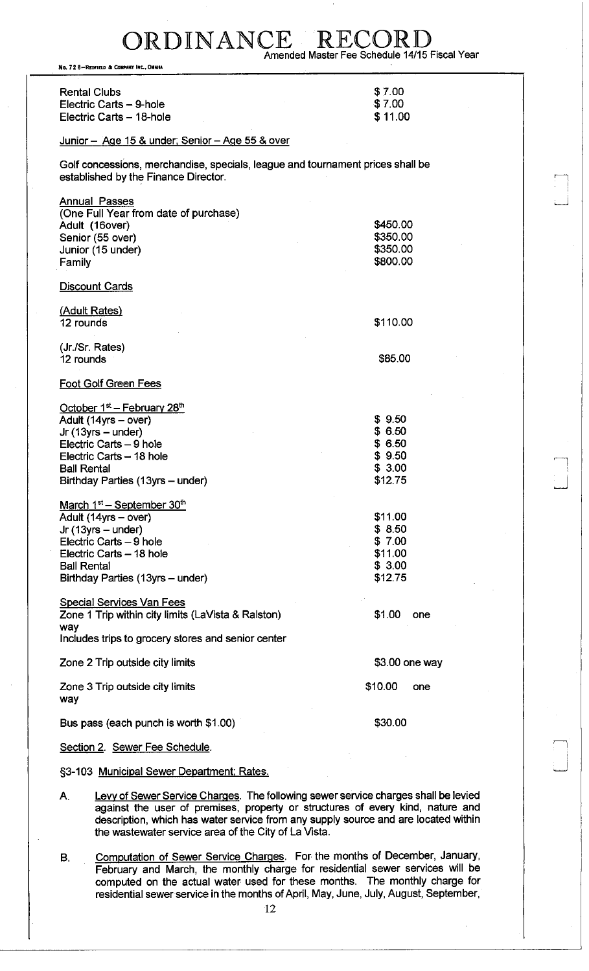ORDINANCE RECOR Amended Master Fee Schedule 14/15 Fiscal Year

No. 72 8-REDFIELD & COMPANY INC., OMAHA

| <b>Rental Clubs</b><br>Electric Carts - 9-hole<br>Electric Carts - 18-hole                                                                                                                                           | \$7.00<br>\$7.00<br>\$11.00                                 |                 |
|----------------------------------------------------------------------------------------------------------------------------------------------------------------------------------------------------------------------|-------------------------------------------------------------|-----------------|
| Junior - Age 15 & under; Senior - Age 55 & over                                                                                                                                                                      |                                                             |                 |
| Golf concessions, merchandise, specials, league and tournament prices shall be<br>established by the Finance Director.                                                                                               |                                                             |                 |
| Annual Passes<br>(One Full Year from date of purchase)<br>Adult (16over)<br>Senior (55 over)<br>Junior (15 under)<br>Family                                                                                          | \$450.00<br>\$350.00<br>\$350.00<br>\$800.00                |                 |
| Discount Cards                                                                                                                                                                                                       |                                                             |                 |
| (Adult Rates)<br>12 rounds                                                                                                                                                                                           | \$110.00                                                    |                 |
| (Jr./Sr. Rates)<br>12 rounds                                                                                                                                                                                         | \$85.00                                                     |                 |
| <b>Foot Golf Green Fees</b>                                                                                                                                                                                          |                                                             |                 |
| October 1 <sup>st</sup> - February 28 <sup>th</sup><br>Adult (14yrs - over)<br>Jr $(13yrs - under)$<br>Electric Carts - 9 hole<br>Electric Carts - 18 hole<br><b>Ball Rental</b><br>Birthday Parties (13yrs – under) | \$9.50<br>\$6.50<br>\$6.50<br>\$9.50<br>\$3.00<br>\$12.75   |                 |
| March 1 <sup>st</sup> – September 30 <sup>th</sup><br>Adult (14yrs - over)<br>$Jr(13yrs - under)$<br>Electric Carts - 9 hole<br>Electric Carts - 18 hole<br><b>Ball Rental</b><br>Birthday Parties (13yrs - under)   | \$11.00<br>\$8.50<br>\$7.00<br>\$11.00<br>\$3.00<br>\$12.75 |                 |
| <b>Special Services Van Fees</b><br>Zone 1 Trip within city limits (LaVista & Ralston)<br>way<br>Includes trips to grocery stores and senior center                                                                  | \$1.00                                                      | one             |
| Zone 2 Trip outside city limits                                                                                                                                                                                      |                                                             | $$3.00$ one way |
| Zone 3 Trip outside city limits<br>way                                                                                                                                                                               | \$10.00                                                     | one             |
| Bus pass (each punch is worth \$1.00)                                                                                                                                                                                | \$30.00                                                     |                 |
| Section 2. Sewer Fee Schedule.                                                                                                                                                                                       |                                                             |                 |

§3-103 Municipal Sewer Department: Rates.

- A. Levy of Sewer Service Charges. The following sewer service charges shall be levied against the user of premises, property or structures of every kind, nature and description, which has water service from any supply source and are located within the wastewater service area of the City of La Vista.
- B. Computation of Sewer Service Charges. For the months of December, January, February and March, the monthly charge for residential sewer services will be computed on the actual water used for these months. The monthly charge for residential sewer service in the months of April, May, June, July, August, September,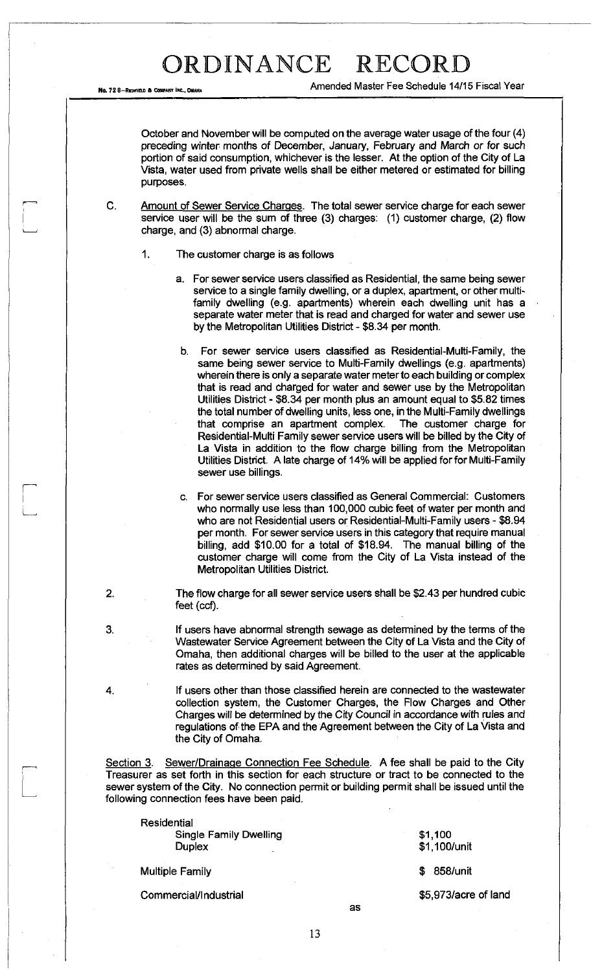No. 72 8-REDFIELD & COMPANY INC., OMAH

Amended Master Fee Schedule 14/15 Fiscal Year

October and November will be computed on the average water usage of the four (4) preceding winter months of December, January, February and March or for such portion of said consumption, whichever is the lesser. At the option of the City of La Vista, water used from private wells shall be either metered or estimated for billing purposes.

C. Amount of Sewer Service Charges. The total sewer service charge for each sewer service user will be the sum of three (3) charges: (1) customer charge, (2) flow charge, and (3) abnormal charge.

- 1. The customer charge is as follows
	- a. For sewer service users classified as Residential, the same being sewer service to a single family dwelling, or a duplex, apartment, or other multifamily dwelling (e.g. apartments) wherein each dwelling unit has a separate water meter that is read and charged for water and sewer use by the Metropolitan Utilities District - \$8.34 per month.
	- b. For sewer service users classified as Residential-Multi-Family, the same being sewer service to Multi-Family dwellings (e.g. apartments) wherein there is only a separate water meter to each building or complex that is read and charged for water and sewer use by the Metropolitan Utilities District - \$8.34 per month plus an amount equal to \$5.82 times the total number of dwelling units, less one, in the Multi-Family dwellings that comprise an apartment complex. The customer charge for Residential-Multi Family sewer service users will be billed by the City of La Vista in addition to the flow charge billing from the Metropolitan Utilities District. A late charge of 14% will be applied for for Multi-Family sewer use billings.
	- c. For sewer service users classified as General Commercial: Customers who normally use less than 100,000 cubic feet of water per month and who are not Residential users or Residential-Multi-Family users - \$8.94 per month. For sewer service users in this category that require manual billing, add \$10.00 for a total of \$18.94. The manual billing of the customer charge will come from the City of La Vista instead of the Metropolitan Utilities District.
- 2. The flow charge for all sewer service users shall be \$2.43 per hundred cubic feet (ccf).
- 3. If users have abnormal strength sewage as determined by the terms of the Wastewater Service Agreement between the City of La Vista and the City of Omaha, then additional charges will be billed to the user at the applicable rates as determined by said Agreement.
- 4. If users other than those classified herein are connected to the wastewater collection system, the Customer Charges, the Flow Charges and Other Charges will be determined by the City Council in accordance with rules and regulations of the EPA and the Agreement between the City of La Vista and the City of Omaha.

Section 3. Sewer/Drainage Connection Fee Schedule. A fee shall be paid to the City Treasurer as set forth in this section for each structure or tract to be connected to the sewer system of the City. No connection permit or building permit shall be issued until the following connection fees have been paid.

**Residential** Single Family Dwelling **Duplex** 

Multiple Family

Commercial/Industrial

\$1,100 \$1,100/unit

\$ 858/unit

\$5,973/acre of land

as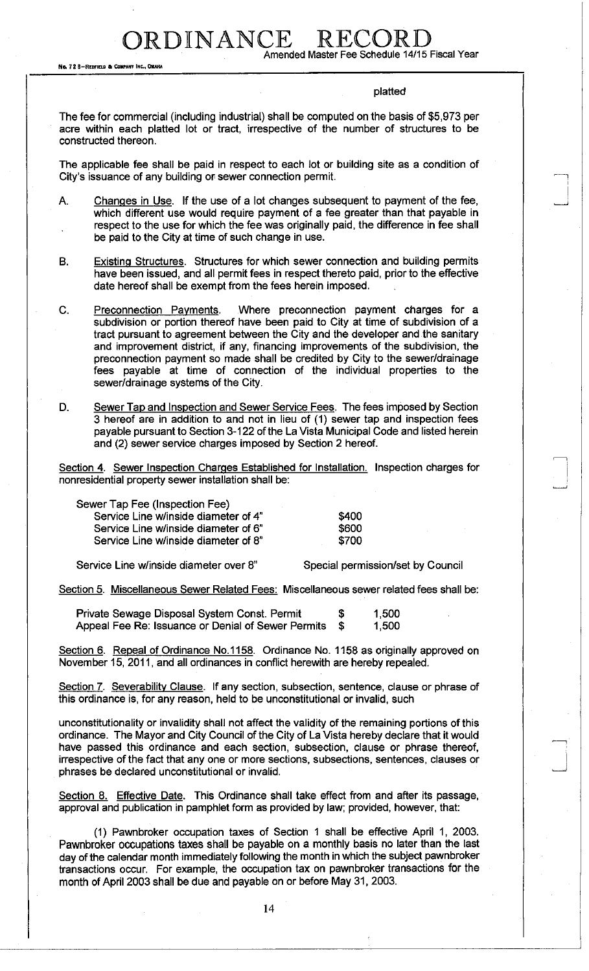No. 72 B-REDFIELD & COMPANY INC., OMAHA

RDINANCE

Amended Master Fee Schedule 14/15 Fiscal Year

### platted

The fee for commercial (including industrial) shall be computed on the basis of \$5,973 per acre within each platted lot or tract, irrespective of the number of structures to be constructed thereon.

The applicable fee shall be paid in respect to each lot or building site as a condition of City's issuance of any building or sewer connection permit.

A. Changes in Use. If the use of a lot changes subsequent to payment of the fee, which different use would require payment of a fee greater than that payable in respect to the use for which the fee was originally paid, the difference in fee shall be paid to the City at time of such change in use.

B. Existing Structures. Structures for which sewer connection and building permits have been issued, and all permit fees in respect thereto paid, prior to the effective date hereof shall be exempt from the fees herein imposed.

C. Preconnection Payments. Where preconnection payment charges for a subdivision or portion thereof have been paid to City at time of subdivision of a tract pursuant to agreement between the City and the developer and the sanitary and improvement district, if any, financing improvements of the subdivision, the preconnection payment so made shall be credited by City to the sewer/drainage fees payable at time of connection of the individual properties to the sewer/drainage systems of the City.

D. Sewer Tap and Inspection and Sewer Service Fees. The fees imposed by Section 3 hereof are in addition to and not in lieu of (1) sewer tap and inspection fees payable pursuant to Section 3-122 of the La Vista Municipal Code and listed herein and (2) sewer service charges imposed by Section 2 hereof.

Section 4. Sewer Inspection Charges Established for Installation. Inspection charges for nonresidential property sewer installation shall be:

| Sewer Tap Fee (Inspection Fee)       |       |
|--------------------------------------|-------|
| Service Line w/inside diameter of 4" | \$400 |
| Service Line w/inside diameter of 6" | \$600 |
| Service Line w/inside diameter of 8" | \$700 |
|                                      |       |

Service Line w/inside diameter over 8" Special permission/set by Council

Section 5. Miscellaneous Sewer Related Fees: Miscellaneous sewer related fees shall be:

Private Sewage Disposal System Const. Permit  $$ 1,500$ Appeal Fee Re: Issuance or Denial of Sewer Permits \$ 1,500

Section 6. Repeal of Ordinance No.1158. Ordinance No. 1158 as originally approved on November 15, 2011, and all ordinances in conflict herewith are hereby repealed.

Section 7. Severability Clause. If any section, subsection, sentence, clause or phrase of this ordinance is, for any reason, held to be unconstitutional or invalid, such

unconstitutionality or invalidity shall not affect the validity of the remaining portions of this ordinance. The Mayor and City Council of the City of La Vista hereby declare that it would have passed this ordinance and each section, subsection, clause or phrase thereof, irrespective of the fact that any one or more sections, subsections, sentences, clauses or phrases be declared unconstitutional or invalid.

Section 8. Effective Date. This Ordinance shall take effect from and after its passage, approval and publication in pamphlet form as provided by law; provided, however, that:

(1) Pawnbroker occupation taxes of Section 1 shall be effective April 1, 2003. Pawnbroker occupations taxes shall be payable on a monthly basis no later than the last day of the calendar month immediately following the month in which the subject pawnbroker transactions occur. For example, the occupation tax on pawnbroker transactions for the month of April 2003 shall be due and payable on or before May 31, 2003.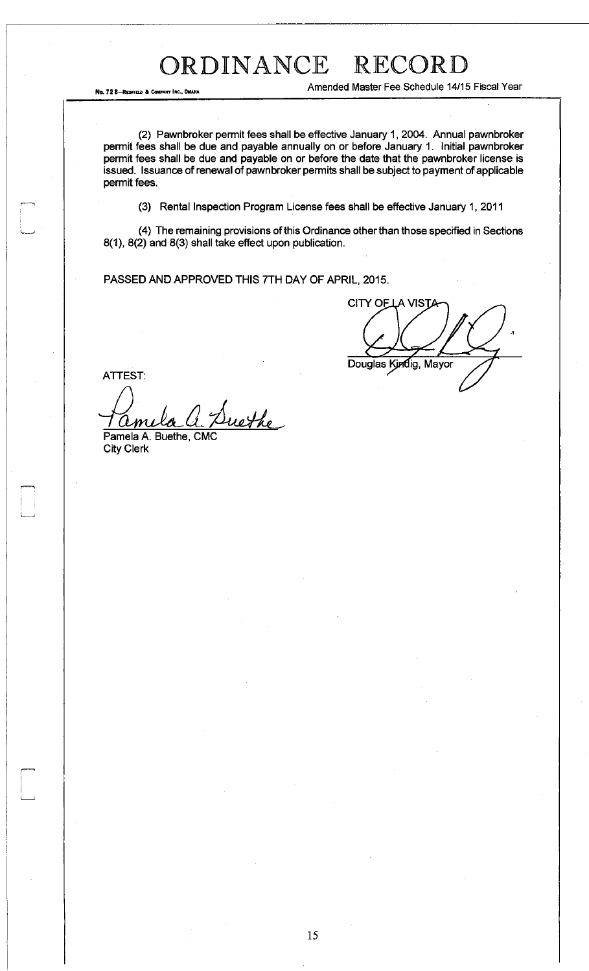No. 72 8-REDITELD & COMPANY INC., OMARA

Amended Master Fee Schedule 14/15 Fiscal Year

(2) Pawnbroker permit fees shall be effective January 1, 2004. Annual pawnbroker permit fees shall be due and payable annually on or before January 1. initial pawnbroker permit fees shall be due and payable on or before the date that the pawnbroker license is issued. Issuance of renewal of pawnbroker permits shall be subject to payment of applicable permit fees.

(3) Rental Inspection Program License fees shall be effective January 1, 2011

(4) The remaining provisions of this Ordinance other than those specified in Sections 8(1), 8(2) and 8(3) shall take effect upon publication.

PASSED AND APPROVED THIS 7TH DAY OF APRIL, 2015.

**CITY OF LA VIST** Douglas Kindig, Mayor

ATTEST:

nethe  $\mathcal L\boldsymbol m$ 

Pamela A. Buethe, CMC City Clerk